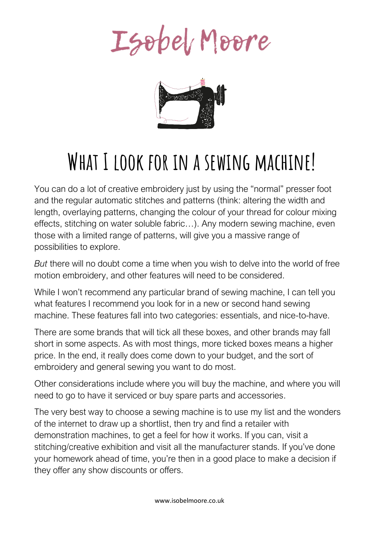Isobel Moore



# **What I look for in a sewing machine!**

You can do a lot of creative embroidery just by using the "normal" presser foot and the regular automatic stitches and patterns (think: altering the width and length, overlaying patterns, changing the colour of your thread for colour mixing effects, stitching on water soluble fabric…). Any modern sewing machine, even those with a limited range of patterns, will give you a massive range of possibilities to explore.

*But* there will no doubt come a time when you wish to delve into the world of free motion embroidery, and other features will need to be considered.

While I won't recommend any particular brand of sewing machine, I can tell you what features I recommend you look for in a new or second hand sewing machine. These features fall into two categories: essentials, and nice-to-have.

There are some brands that will tick all these boxes, and other brands may fall short in some aspects. As with most things, more ticked boxes means a higher price. In the end, it really does come down to your budget, and the sort of embroidery and general sewing you want to do most.

Other considerations include where you will buy the machine, and where you will need to go to have it serviced or buy spare parts and accessories.

The very best way to choose a sewing machine is to use my list and the wonders of the internet to draw up a shortlist, then try and find a retailer with demonstration machines, to get a feel for how it works. If you can, visit a stitching/creative exhibition and visit all the manufacturer stands. If you've done your homework ahead of time, you're then in a good place to make a decision if they offer any show discounts or offers.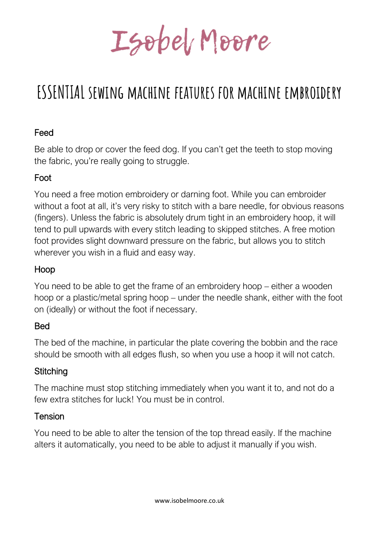Isobel Moore

# **ESSENTIAL sewing machine features for machine embroidery**

# Feed

Be able to drop or cover the feed dog. If you can't get the teeth to stop moving the fabric, you're really going to struggle.

# Foot

You need a free motion embroidery or darning foot. While you can embroider without a foot at all, it's very risky to stitch with a bare needle, for obvious reasons (fingers). Unless the fabric is absolutely drum tight in an embroidery hoop, it will tend to pull upwards with every stitch leading to skipped stitches. A free motion foot provides slight downward pressure on the fabric, but allows you to stitch wherever you wish in a fluid and easy way.

# Hoop

You need to be able to get the frame of an embroidery hoop – either a wooden hoop or a plastic/metal spring hoop – under the needle shank, either with the foot on (ideally) or without the foot if necessary.

# **Bed**

The bed of the machine, in particular the plate covering the bobbin and the race should be smooth with all edges flush, so when you use a hoop it will not catch.

# **Stitching**

The machine must stop stitching immediately when you want it to, and not do a few extra stitches for luck! You must be in control.

#### Tension

You need to be able to alter the tension of the top thread easily. If the machine alters it automatically, you need to be able to adjust it manually if you wish.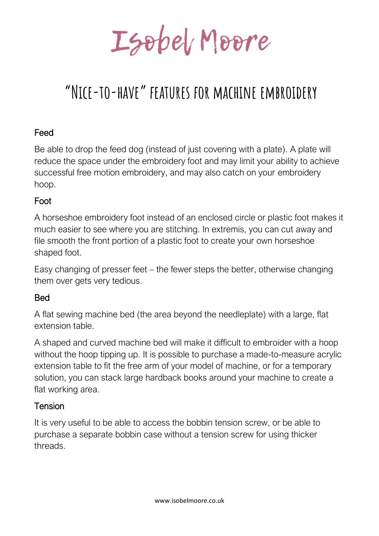Isobel Moore

# **"Nice-to-have" features for machine embroidery**

#### Feed

Be able to drop the feed dog (instead of just covering with a plate). A plate will reduce the space under the embroidery foot and may limit your ability to achieve successful free motion embroidery, and may also catch on your embroidery hoop.

#### Foot

A horseshoe embroidery foot instead of an enclosed circle or plastic foot makes it much easier to see where you are stitching. In extremis, you can cut away and file smooth the front portion of a plastic foot to create your own horseshoe shaped foot.

Easy changing of presser feet – the fewer steps the better, otherwise changing them over gets very tedious.

#### **Bed**

A flat sewing machine bed (the area beyond the needleplate) with a large, flat extension table.

A shaped and curved machine bed will make it difficult to embroider with a hoop without the hoop tipping up. It is possible to purchase a made-to-measure acrylic extension table to fit the free arm of your model of machine, or for a temporary solution, you can stack large hardback books around your machine to create a flat working area.

#### Tension

It is very useful to be able to access the bobbin tension screw, or be able to purchase a separate bobbin case without a tension screw for using thicker threads.